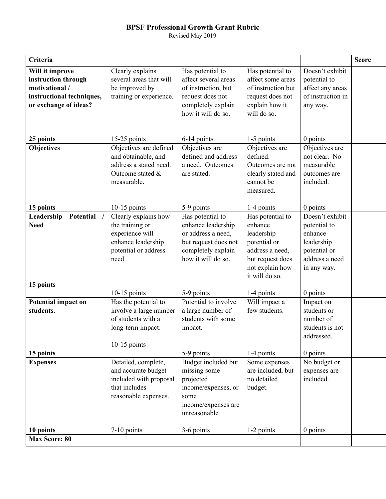## **BPSF Professional Growth Grant Rubric**

Revised May 2019

| Criteria                                                                                                       |                                                                                                                  |                                                                                                                                  |                                                                                                                                       |                                                                                                           | <b>Score</b> |
|----------------------------------------------------------------------------------------------------------------|------------------------------------------------------------------------------------------------------------------|----------------------------------------------------------------------------------------------------------------------------------|---------------------------------------------------------------------------------------------------------------------------------------|-----------------------------------------------------------------------------------------------------------|--------------|
| Will it improve<br>instruction through<br>motivational /<br>instructional techniques,<br>or exchange of ideas? | Clearly explains<br>several areas that will<br>be improved by<br>training or experience.                         | Has potential to<br>affect several areas<br>of instruction, but<br>request does not<br>completely explain<br>how it will do so.  | Has potential to<br>affect some areas<br>of instruction but<br>request does not<br>explain how it<br>will do so.                      | Doesn't exhibit<br>potential to<br>affect any areas<br>of instruction in<br>any way.                      |              |
| 25 points                                                                                                      | 15-25 points                                                                                                     | 6-14 points                                                                                                                      | 1-5 points                                                                                                                            | $0$ points                                                                                                |              |
| <b>Objectives</b>                                                                                              | Objectives are defined<br>and obtainable, and<br>address a stated need.<br>Outcome stated &<br>measurable.       | Objectives are<br>defined and address<br>a need. Outcomes<br>are stated.                                                         | Objectives are<br>defined.<br>Outcomes are not<br>clearly stated and<br>cannot be<br>measured.                                        | Objectives are<br>not clear. No<br>measurable<br>outcomes are<br>included.                                |              |
| 15 points                                                                                                      | $10-15$ points                                                                                                   | 5-9 points                                                                                                                       | 1-4 points                                                                                                                            | $0$ points                                                                                                |              |
| Potential<br>Leadership<br><b>Need</b><br>15 points                                                            | Clearly explains how<br>the training or<br>experience will<br>enhance leadership<br>potential or address<br>need | Has potential to<br>enhance leadership<br>or address a need,<br>but request does not<br>completely explain<br>how it will do so. | Has potential to<br>enhance<br>leadership<br>potential or<br>address a need,<br>but request does<br>not explain how<br>it will do so. | Doesn't exhibit<br>potential to<br>enhance<br>leadership<br>potential or<br>address a need<br>in any way. |              |
|                                                                                                                | $10-15$ points                                                                                                   | 5-9 points                                                                                                                       | 1-4 points                                                                                                                            | $0$ points                                                                                                |              |
| Potential impact on<br>students.                                                                               | Has the potential to<br>involve a large number<br>of students with a<br>long-term impact.<br>$10-15$ points      | Potential to involve<br>a large number of<br>students with some<br>impact.                                                       | Will impact a<br>few students.                                                                                                        | Impact on<br>students or<br>number of<br>students is not<br>addressed.                                    |              |
| 15 points                                                                                                      |                                                                                                                  | 5-9 points                                                                                                                       | 1-4 points                                                                                                                            | 0 points                                                                                                  |              |
| <b>Expenses</b>                                                                                                | Detailed, complete,<br>and accurate budget<br>included with proposal<br>that includes<br>reasonable expenses.    | Budget included but<br>missing some<br>projected<br>income/expenses, or<br>some<br>income/expenses are<br>unreasonable           | Some expenses<br>are included, but<br>no detailed<br>budget.                                                                          | No budget or<br>expenses are<br>included.                                                                 |              |
| 10 points<br><b>Max Score: 80</b>                                                                              | 7-10 points                                                                                                      | 3-6 points                                                                                                                       | 1-2 points                                                                                                                            | $0$ points                                                                                                |              |
|                                                                                                                |                                                                                                                  |                                                                                                                                  |                                                                                                                                       |                                                                                                           |              |